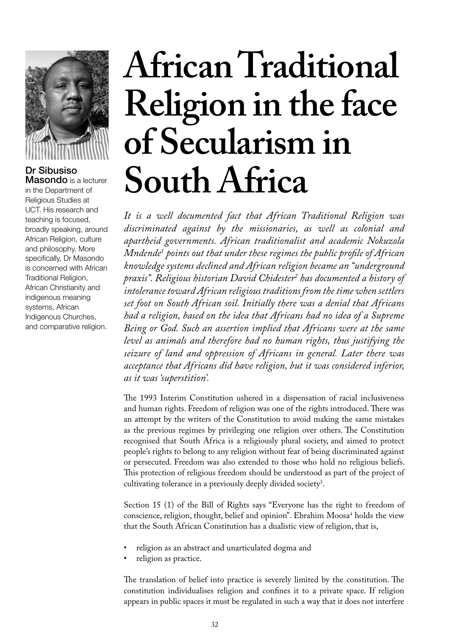

## Masondo is a lecturer

in the Department of Religious Studies at UCT. His research and teaching is focused, broadly speaking, around African Religion, culture and philosophy. More specifically, Dr Masondo is concerned with African Traditional Religion, African Christianity and indigenous meaning systems, African Indigenous Churches, and comparative religion.

# **African Traditional Religion in the face of Secularism in Dr Sibusiso**<br>Masondo is a lecturer **South Africa**

*It is a well documented fact that African Traditional Religion was discriminated against by the missionaries, as well as colonial and apartheid governments. African traditionalist and academic Nokuzola Mndende1 points out that under these regimes the public profile of African knowledge systems declined and African religion became an "underground praxis". Religious historian David Chidester2 has documented a history of intolerance toward African religious traditions from the time when settlers set foot on South African soil. Initially there was a denial that Africans had a religion, based on the idea that Africans had no idea of a Supreme Being or God. Such an assertion implied that Africans were at the same level as animals and therefore had no human rights, thus justifying the seizure of land and oppression of Africans in general. Later there was acceptance that Africans did have religion, but it was considered inferior, as it was 'superstition'.*

The 1993 Interim Constitution ushered in a dispensation of racial inclusiveness and human rights. Freedom of religion was one of the rights introduced. There was an attempt by the writers of the Constitution to avoid making the same mistakes as the previous regimes by privileging one religion over others. The Constitution recognised that South Africa is a religiously plural society, and aimed to protect people's rights to belong to any religion without fear of being discriminated against or persecuted. Freedom was also extended to those who hold no religious beliefs. This protection of religious freedom should be understood as part of the project of cultivating tolerance in a previously deeply divided society<sup>3</sup>.

Section 15 (1) of the Bill of Rights says "Everyone has the right to freedom of conscience, religion, thought, belief and opinion". Ebrahim Moosa<sup>4</sup> holds the view that the South African Constitution has a dualistic view of religion, that is,

- religion as an abstract and unarticulated dogma and
- religion as practice.

The translation of belief into practice is severely limited by the constitution. The constitution individualises religion and confines it to a private space. If religion appears in public spaces it must be regulated in such a way that it does not interfere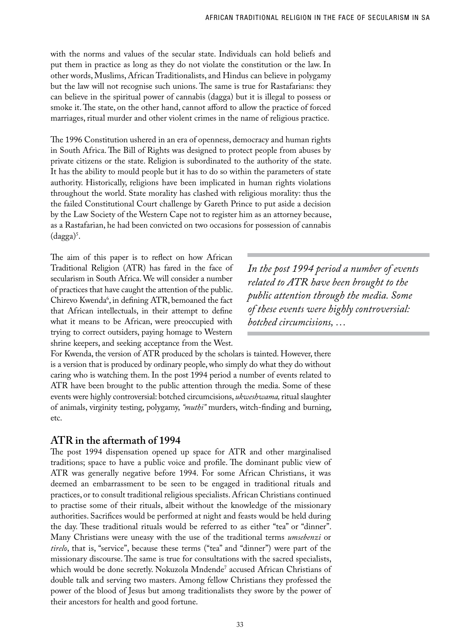with the norms and values of the secular state. Individuals can hold beliefs and put them in practice as long as they do not violate the constitution or the law. In other words, Muslims, African Traditionalists, and Hindus can believe in polygamy but the law will not recognise such unions. The same is true for Rastafarians: they can believe in the spiritual power of cannabis (dagga) but it is illegal to possess or smoke it. The state, on the other hand, cannot afford to allow the practice of forced marriages, ritual murder and other violent crimes in the name of religious practice.

The 1996 Constitution ushered in an era of openness, democracy and human rights in South Africa. The Bill of Rights was designed to protect people from abuses by private citizens or the state. Religion is subordinated to the authority of the state. It has the ability to mould people but it has to do so within the parameters of state authority. Historically, religions have been implicated in human rights violations throughout the world. State morality has clashed with religious morality: thus the the failed Constitutional Court challenge by Gareth Prince to put aside a decision by the Law Society of the Western Cape not to register him as an attorney because, as a Rastafarian, he had been convicted on two occasions for possession of cannabis (dagga)<sup>3</sup>.

The aim of this paper is to reflect on how African Traditional Religion (ATR) has fared in the face of secularism in South Africa. We will consider a number of practices that have caught the attention of the public.  $Chirevo Kwenda<sup>6</sup>, in defining ATR, bemoaned the fact$ that African intellectuals, in their attempt to define what it means to be African, were preoccupied with trying to correct outsiders, paying homage to Western shrine keepers, and seeking acceptance from the West.

*In the post 1994 period a number of events related to ATR have been brought to the public attention through the media. Some of these events were highly controversial: botched circumcisions, …*

For Kwenda, the version of ATR produced by the scholars is tainted. However, there is a version that is produced by ordinary people, who simply do what they do without caring who is watching them. In the post 1994 period a number of events related to ATR have been brought to the public attention through the media. Some of these events were highly controversial: botched circumcisions, *ukweshwama,* ritual slaughter of animals, virginity testing, polygamy, *"muthi"* murders, witch-finding and burning, etc.

### **ATR in the aftermath of 1994**

The post 1994 dispensation opened up space for ATR and other marginalised traditions; space to have a public voice and profile. The dominant public view of ATR was generally negative before 1994. For some African Christians, it was deemed an embarrassment to be seen to be engaged in traditional rituals and practices, or to consult traditional religious specialists. African Christians continued to practise some of their rituals, albeit without the knowledge of the missionary authorities. Sacrifices would be performed at night and feasts would be held during the day. These traditional rituals would be referred to as either "tea" or "dinner". Many Christians were uneasy with the use of the traditional terms *umsebenzi* or *tirelo*, that is, "service", because these terms ("tea" and "dinner") were part of the missionary discourse. The same is true for consultations with the sacred specialists, which would be done secretly. Nokuzola Mndende7 accused African Christians of double talk and serving two masters. Among fellow Christians they professed the power of the blood of Jesus but among traditionalists they swore by the power of their ancestors for health and good fortune.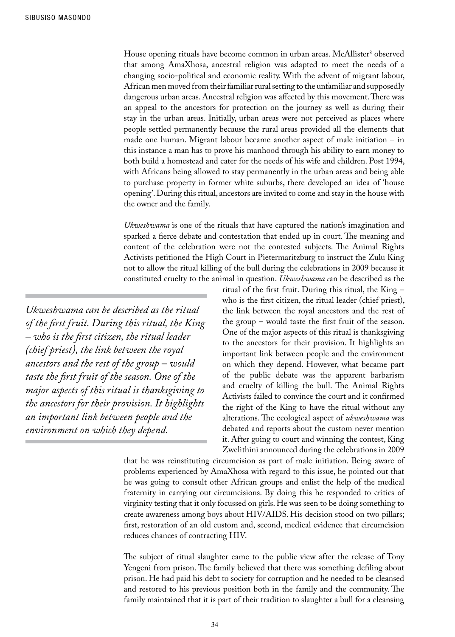House opening rituals have become common in urban areas. McAllister<sup>8</sup> observed that among AmaXhosa, ancestral religion was adapted to meet the needs of a changing socio-political and economic reality. With the advent of migrant labour, African men moved from their familiar rural setting to the unfamiliar and supposedly dangerous urban areas. Ancestral religion was affected by this movement. There was an appeal to the ancestors for protection on the journey as well as during their stay in the urban areas. Initially, urban areas were not perceived as places where people settled permanently because the rural areas provided all the elements that made one human. Migrant labour became another aspect of male initiation – in this instance a man has to prove his manhood through his ability to earn money to both build a homestead and cater for the needs of his wife and children. Post 1994, with Africans being allowed to stay permanently in the urban areas and being able to purchase property in former white suburbs, there developed an idea of 'house opening'. During this ritual, ancestors are invited to come and stay in the house with the owner and the family.

*Ukweshwama* is one of the rituals that have captured the nation's imagination and sparked a fierce debate and contestation that ended up in court. The meaning and content of the celebration were not the contested subjects. The Animal Rights Activists petitioned the High Court in Pietermaritzburg to instruct the Zulu King not to allow the ritual killing of the bull during the celebrations in 2009 because it constituted cruelty to the animal in question. *Ukweshwama c*an be described as the

*Ukweshwama can be described as the ritual of the first fruit. During this ritual, the King – who is the first citizen, the ritual leader (chief priest), the link between the royal ancestors and the rest of the group – would taste the first fruit of the season. One of the major aspects of this ritual is thanksgiving to the ancestors for their provision. It highlights an important link between people and the environment on which they depend.* 

ritual of the first fruit. During this ritual, the King – who is the first citizen, the ritual leader (chief priest), the link between the royal ancestors and the rest of the group – would taste the first fruit of the season. One of the major aspects of this ritual is thanksgiving to the ancestors for their provision. It highlights an important link between people and the environment on which they depend. However, what became part of the public debate was the apparent barbarism and cruelty of killing the bull. The Animal Rights Activists failed to convince the court and it confirmed the right of the King to have the ritual without any alterations. The ecological aspect of *ukweshwama* was debated and reports about the custom never mention it. After going to court and winning the contest, King Zwelithini announced during the celebrations in 2009

that he was reinstituting circumcision as part of male initiation. Being aware of problems experienced by AmaXhosa with regard to this issue, he pointed out that he was going to consult other African groups and enlist the help of the medical fraternity in carrying out circumcisions. By doing this he responded to critics of virginity testing that it only focussed on girls. He was seen to be doing something to create awareness among boys about HIV/AIDS. His decision stood on two pillars; first, restoration of an old custom and, second, medical evidence that circumcision reduces chances of contracting HIV.

The subject of ritual slaughter came to the public view after the release of Tony Yengeni from prison. The family believed that there was something defiling about prison. He had paid his debt to society for corruption and he needed to be cleansed and restored to his previous position both in the family and the community. The family maintained that it is part of their tradition to slaughter a bull for a cleansing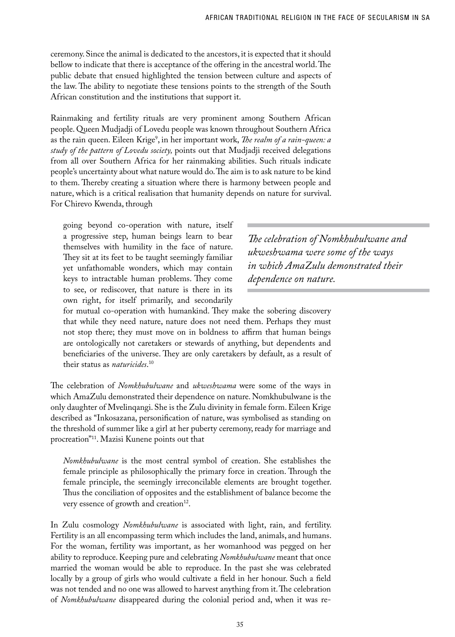ceremony. Since the animal is dedicated to the ancestors, it is expected that it should bellow to indicate that there is acceptance of the offering in the ancestral world. The public debate that ensued highlighted the tension between culture and aspects of the law. The ability to negotiate these tensions points to the strength of the South African constitution and the institutions that support it.

Rainmaking and fertility rituals are very prominent among Southern African people. Queen Mudjadji of Lovedu people was known throughout Southern Africa as the rain queen. Eileen Krige<sup>s</sup>, in her important work, *The realm of a rain-queen: a study of the pattern of Lovedu society,* points out that Mudjadji received delegations from all over Southern Africa for her rainmaking abilities. Such rituals indicate people's uncertainty about what nature would do. The aim is to ask nature to be kind to them. Thereby creating a situation where there is harmony between people and nature, which is a critical realisation that humanity depends on nature for survival. For Chirevo Kwenda, through

going beyond co-operation with nature, itself a progressive step, human beings learn to bear themselves with humility in the face of nature. They sit at its feet to be taught seemingly familiar yet unfathomable wonders, which may contain keys to intractable human problems. They come to see, or rediscover, that nature is there in its own right, for itself primarily, and secondarily

*The celebration of Nomkhubulwane and ukweshwama were some of the ways in which AmaZulu demonstrated their dependence on nature.*

for mutual co-operation with humankind. They make the sobering discovery that while they need nature, nature does not need them. Perhaps they must not stop there; they must move on in boldness to affirm that human beings are ontologically not caretakers or stewards of anything, but dependents and beneficiaries of the universe. They are only caretakers by default, as a result of their status as *naturicides*. 10

The celebration of *Nomkhubulwane* and *ukweshwama* were some of the ways in which AmaZulu demonstrated their dependence on nature. Nomkhubulwane is the only daughter of Mvelinqangi. She is the Zulu divinity in female form. Eileen Krige described as "Inkosazana, personification of nature, was symbolised as standing on the threshold of summer like a girl at her puberty ceremony, ready for marriage and procreation"11. Mazisi Kunene points out that

*Nomkhubulwane* is the most central symbol of creation. She establishes the female principle as philosophically the primary force in creation. Through the female principle, the seemingly irreconcilable elements are brought together. Thus the conciliation of opposites and the establishment of balance become the very essence of growth and creation $12$ .

In Zulu cosmology *Nomkhubulwane* is associated with light, rain, and fertility. Fertility is an all encompassing term which includes the land, animals, and humans. For the woman, fertility was important, as her womanhood was pegged on her ability to reproduce. Keeping pure and celebrating *Nomkhubulwane* meant that once married the woman would be able to reproduce. In the past she was celebrated locally by a group of girls who would cultivate a field in her honour. Such a field was not tended and no one was allowed to harvest anything from it. The celebration of *Nomkhubulwane* disappeared during the colonial period and, when it was re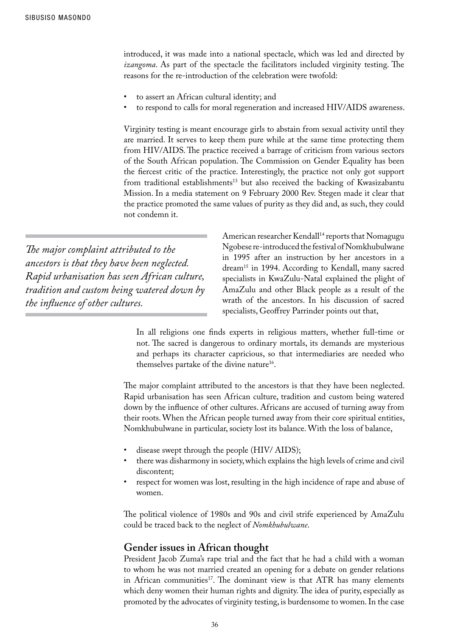introduced, it was made into a national spectacle, which was led and directed by *izangoma*. As part of the spectacle the facilitators included virginity testing. The reasons for the re-introduction of the celebration were twofold:

- to assert an African cultural identity; and
- to respond to calls for moral regeneration and increased HIV/AIDS awareness.

Virginity testing is meant encourage girls to abstain from sexual activity until they are married. It serves to keep them pure while at the same time protecting them from HIV/AIDS. The practice received a barrage of criticism from various sectors of the South African population. The Commission on Gender Equality has been the fiercest critic of the practice. Interestingly, the practice not only got support from traditional establishments<sup>13</sup> but also received the backing of Kwasizabantu Mission. In a media statement on 9 February 2000 Rev. Stegen made it clear that the practice promoted the same values of purity as they did and, as such, they could not condemn it.

*The major complaint attributed to the ancestors is that they have been neglected. Rapid urbanisation has seen African culture, tradition and custom being watered down by the influence of other cultures.* 

American researcher Kendall<sup>14</sup> reports that Nomagugu Ngobese re-introduced the festival of Nomkhubulwane in 1995 after an instruction by her ancestors in a dream15 in 1994. According to Kendall, many sacred specialists in KwaZulu-Natal explained the plight of AmaZulu and other Black people as a result of the wrath of the ancestors. In his discussion of sacred specialists, Geoffrey Parrinder points out that,

In all religions one finds experts in religious matters, whether full-time or not. The sacred is dangerous to ordinary mortals, its demands are mysterious and perhaps its character capricious, so that intermediaries are needed who themselves partake of the divine nature<sup>16</sup>.

The major complaint attributed to the ancestors is that they have been neglected. Rapid urbanisation has seen African culture, tradition and custom being watered down by the influence of other cultures. Africans are accused of turning away from their roots. When the African people turned away from their core spiritual entities, Nomkhubulwane in particular, society lost its balance. With the loss of balance,

- disease swept through the people (HIV/ AIDS);
- there was disharmony in society, which explains the high levels of crime and civil discontent;
- respect for women was lost, resulting in the high incidence of rape and abuse of women.

The political violence of 1980s and 90s and civil strife experienced by AmaZulu could be traced back to the neglect of *Nomkhubulwane*.

#### **Gender issues in African thought**

President Jacob Zuma's rape trial and the fact that he had a child with a woman to whom he was not married created an opening for a debate on gender relations in African communities<sup>17</sup>. The dominant view is that ATR has many elements which deny women their human rights and dignity. The idea of purity, especially as promoted by the advocates of virginity testing, is burdensome to women. In the case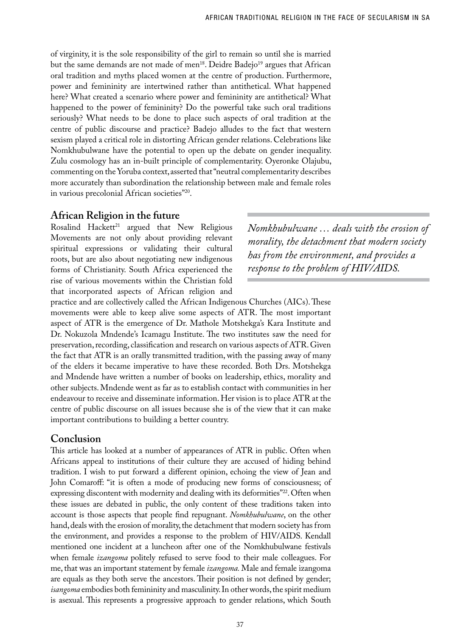of virginity, it is the sole responsibility of the girl to remain so until she is married but the same demands are not made of men<sup>18</sup>. Deidre Badejo<sup>19</sup> argues that African oral tradition and myths placed women at the centre of production. Furthermore, power and femininity are intertwined rather than antithetical. What happened here? What created a scenario where power and femininity are antithetical? What happened to the power of femininity? Do the powerful take such oral traditions seriously? What needs to be done to place such aspects of oral tradition at the centre of public discourse and practice? Badejo alludes to the fact that western sexism played a critical role in distorting African gender relations. Celebrations like Nomkhubulwane have the potential to open up the debate on gender inequality. Zulu cosmology has an in-built principle of complementarity. Oyeronke Olajubu, commenting on the Yoruba context, asserted that "neutral complementarity describes more accurately than subordination the relationship between male and female roles in various precolonial African societies"20.

#### **African Religion in the future**

Rosalind Hackett<sup>21</sup> argued that New Religious Movements are not only about providing relevant spiritual expressions or validating their cultural roots, but are also about negotiating new indigenous forms of Christianity. South Africa experienced the rise of various movements within the Christian fold that incorporated aspects of African religion and

*Nomkhubulwane … deals with the erosion of morality, the detachment that modern society has from the environment, and provides a response to the problem of HIV/AIDS.* 

practice and are collectively called the African Indigenous Churches (AICs). These movements were able to keep alive some aspects of ATR. The most important aspect of ATR is the emergence of Dr. Mathole Motshekga's Kara Institute and Dr. Nokuzola Mndende's Icamagu Institute. The two institutes saw the need for preservation, recording, classification and research on various aspects of ATR. Given the fact that ATR is an orally transmitted tradition, with the passing away of many of the elders it became imperative to have these recorded. Both Drs. Motshekga and Mndende have written a number of books on leadership, ethics, morality and other subjects. Mndende went as far as to establish contact with communities in her endeavour to receive and disseminate information. Her vision is to place ATR at the centre of public discourse on all issues because she is of the view that it can make important contributions to building a better country.

#### **Conclusion**

This article has looked at a number of appearances of ATR in public. Often when Africans appeal to institutions of their culture they are accused of hiding behind tradition. I wish to put forward a different opinion, echoing the view of Jean and John Comaroff: "it is often a mode of producing new forms of consciousness; of expressing discontent with modernity and dealing with its deformities"<sup>22</sup>. Often when these issues are debated in public, the only content of these traditions taken into account is those aspects that people find repugnant. *Nomkhubulwane*, on the other hand, deals with the erosion of morality, the detachment that modern society has from the environment, and provides a response to the problem of HIV/AIDS. Kendall mentioned one incident at a luncheon after one of the Nomkhubulwane festivals when female *izangoma* politely refused to serve food to their male colleagues. For me, that was an important statement by female *izangoma.* Male and female izangoma are equals as they both serve the ancestors. Their position is not defined by gender; *isangoma* embodies both femininity and masculinity. In other words, the spirit medium is asexual. This represents a progressive approach to gender relations, which South